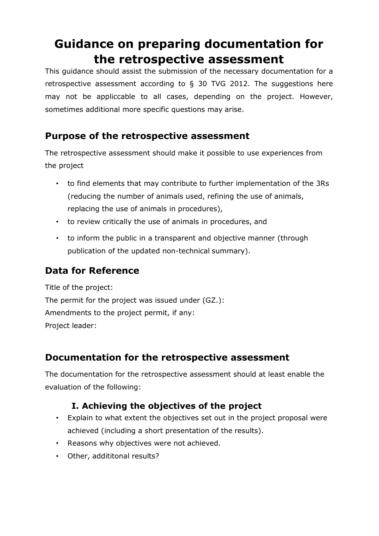# **Guidance on preparing documentation for the retrospective assessment**

This guidance should assist the submission of the necessary documentation for a retrospective assessment according to  $\S$  30 TVG 2012. The suggestions here may not be appliccable to all cases, depending on the project. However, sometimes additional more specific questions may arise.

## **Purpose of the retrospective assessment**

The retrospective assessment should make it possible to use experiences from the project

- to find elements that may contribute to further implementation of the 3Rs (reducing the number of animals used, refining the use of animals, replacing the use of animals in procedures),
- to review critically the use of animals in procedures, and
- to inform the public in a transparent and objective manner (through publication of the updated non-technical summary).

## **Data for Reference**

Title of the project: The permit for the project was issued under (GZ.): Amendments to the project permit, if any: Project leader:

## **Documentation for the retrospective assessment**

The documentation for the retrospective assessment should at least enable the evaluation of the following:

### **I. Achieving the objectives of the project**

- Explain to what extent the objectives set out in the project proposal were achieved (including a short presentation of the results).
- Reasons why objectives were not achieved.
- Other, addititonal results?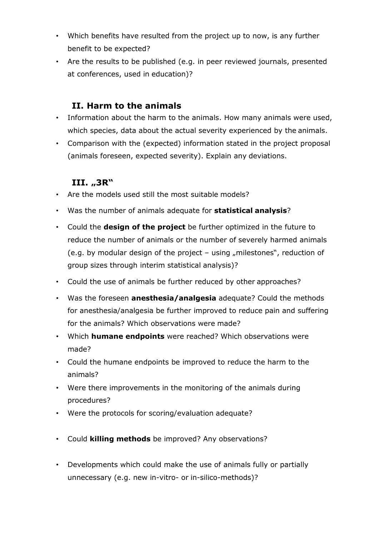- Which benefits have resulted from the project up to now, is any further benefit to be expected?
- Are the results to be published (e.g. in peer reviewed journals, presented at conferences, used in education)?

#### **II. Harm to the animals**

- Information about the harm to the animals. How many animals were used, which species, data about the actual severity experienced by the animals.
- Comparison with the (expected) information stated in the project proposal (animals foreseen, expected severity). Explain any deviations.

#### **III. "3R"**

- Are the models used still the most suitable models?
- Was the number of animals adequate for **statistical analysis**?
- Could the **design of the project** be further optimized in the future to reduce the number of animals or the number of severely harmed animals (e.g. by modular design of the project – using "milestones", reduction of group sizes through interim statistical analysis)?
- Could the use of animals be further reduced by other approaches?
- Was the foreseen **anesthesia/analgesia** adequate? Could the methods for anesthesia/analgesia be further improved to reduce pain and suffering for the animals? Which observations were made?
- Which **humane endpoints** were reached? Which observations were made?
- Could the humane endpoints be improved to reduce the harm to the animals?
- Were there improvements in the monitoring of the animals during procedures?
- Were the protocols for scoring/evaluation adequate?
- Could **killing methods** be improved? Any observations?
- Developments which could make the use of animals fully or partially unnecessary (e.g. new in-vitro- or in-silico-methods)?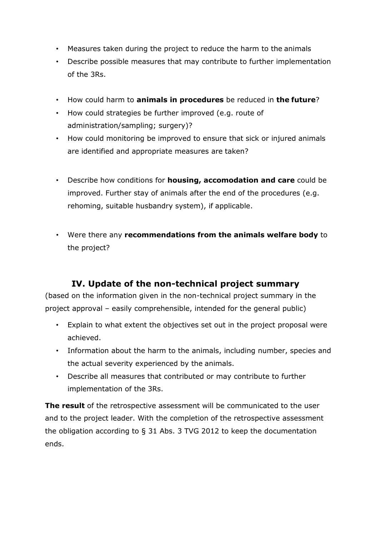- Measures taken during the project to reduce the harm to the animals
- Describe possible measures that may contribute to further implementation of the 3Rs.
- How could harm to **animals in procedures** be reduced in **the future**?
- How could strategies be further improved (e.g. route of administration/sampling; surgery)?
- How could monitoring be improved to ensure that sick or injured animals are identified and appropriate measures are taken?
- Describe how conditions for **housing, accomodation and care** could be improved. Further stay of animals after the end of the procedures (e.g. rehoming, suitable husbandry system), if applicable.
- Were there any **recommendations from the animals welfare body** to the project?

### **IV. Update of the non-technical project summary**

(based on the information given in the non-technical project summary in the project approval – easily comprehensible, intended for the general public)

- Explain to what extent the objectives set out in the project proposal were achieved.
- Information about the harm to the animals, including number, species and the actual severity experienced by the animals.
- Describe all measures that contributed or may contribute to further implementation of the 3Rs.

**The result** of the retrospective assessment will be communicated to the user and to the project leader. With the completion of the retrospective assessment the obligation according to § 31 Abs. 3 TVG 2012 to keep the documentation ends.